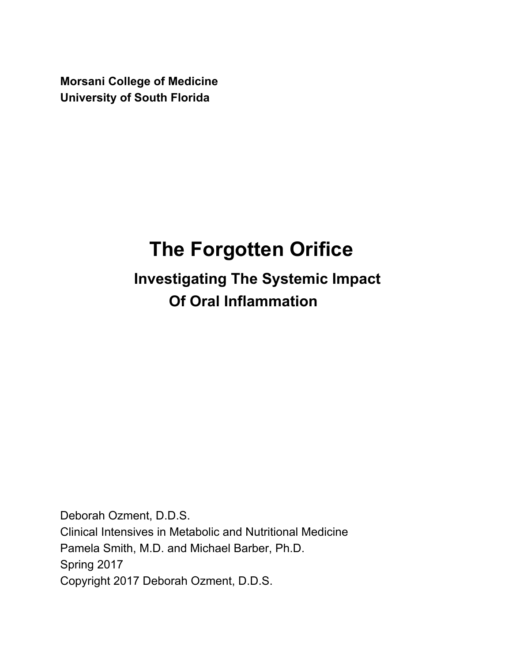**Morsani College of Medicine University of South Florida**

# **The Forgotten Orifice**

 **Investigating The Systemic Impact Of Oral Inflammation**

Deborah Ozment, D.D.S. Clinical Intensives in Metabolic and Nutritional Medicine Pamela Smith, M.D. and Michael Barber, Ph.D. Spring 2017 Copyright 2017 Deborah Ozment, D.D.S.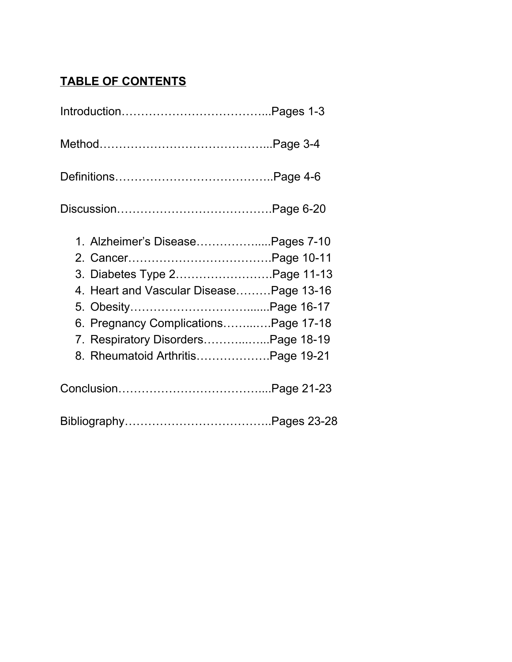## **TABLE OF CONTENTS**

| 1. Alzheimer's DiseasePages 7-10<br>3. Diabetes Type 2Page 11-13<br>4. Heart and Vascular DiseasePage 13-16<br>6. Pregnancy ComplicationsPage 17-18<br>7. Respiratory DisordersPage 18-19<br>8. Rheumatoid ArthritisPage 19-21 |  |
|--------------------------------------------------------------------------------------------------------------------------------------------------------------------------------------------------------------------------------|--|
|                                                                                                                                                                                                                                |  |
|                                                                                                                                                                                                                                |  |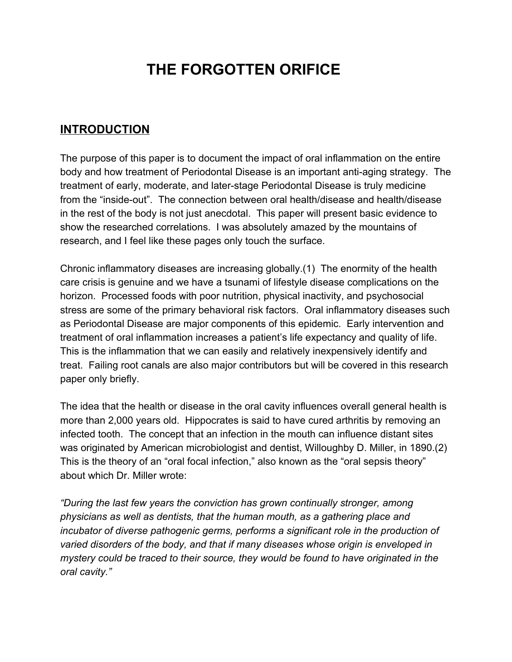## **THE FORGOTTEN ORIFICE**

## **INTRODUCTION**

The purpose of this paper is to document the impact of oral inflammation on the entire body and how treatment of Periodontal Disease is an important anti-aging strategy. The treatment of early, moderate, and later-stage Periodontal Disease is truly medicine from the "inside-out". The connection between oral health/disease and health/disease in the rest of the body is not just anecdotal. This paper will present basic evidence to show the researched correlations. I was absolutely amazed by the mountains of research, and I feel like these pages only touch the surface.

Chronic inflammatory diseases are increasing globally.(1) The enormity of the health care crisis is genuine and we have a tsunami of lifestyle disease complications on the horizon. Processed foods with poor nutrition, physical inactivity, and psychosocial stress are some of the primary behavioral risk factors. Oral inflammatory diseases such as Periodontal Disease are major components of this epidemic. Early intervention and treatment of oral inflammation increases a patient's life expectancy and quality of life. This is the inflammation that we can easily and relatively inexpensively identify and treat. Failing root canals are also major contributors but will be covered in this research paper only briefly.

The idea that the health or disease in the oral cavity influences overall general health is more than 2,000 years old. Hippocrates is said to have cured arthritis by removing an infected tooth. The concept that an infection in the mouth can influence distant sites was originated by American microbiologist and dentist, Willoughby D. Miller, in 1890.(2) This is the theory of an "oral focal infection," also known as the "oral sepsis theory" about which Dr. Miller wrote:

*"During the last few years the conviction has grown continually stronger, among physicians as well as dentists, that the human mouth, as a gathering place and incubator of diverse pathogenic germs, performs a significant role in the production of varied disorders of the body, and that if many diseases whose origin is enveloped in mystery could be traced to their source, they would be found to have originated in the oral cavity."*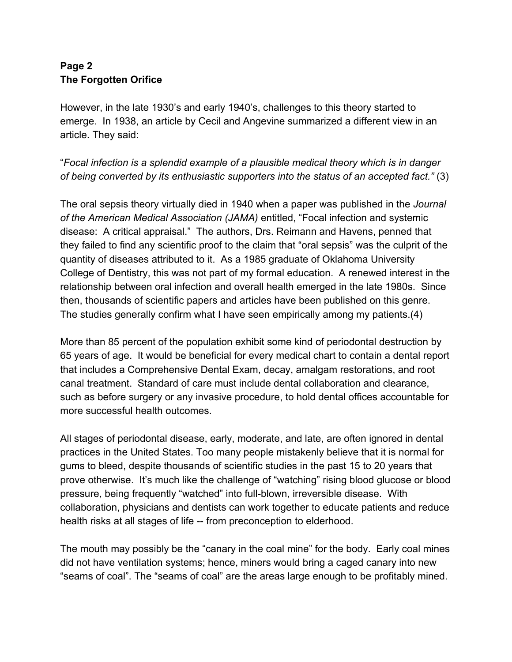#### **Page 2 The Forgotten Orifice**

However, in the late 1930's and early 1940's, challenges to this theory started to emerge. In 1938, an article by Cecil and Angevine summarized a different view in an article. They said:

"*Focal infection is a splendid example of a plausible medical theory which is in danger of being converted by its enthusiastic supporters into the status of an accepted fact."* (3)

The oral sepsis theory virtually died in 1940 when a paper was published in the *Journal of the American Medical Association (JAMA)* entitled, "Focal infection and systemic disease: A critical appraisal." The authors, Drs. Reimann and Havens, penned that they failed to find any scientific proof to the claim that "oral sepsis" was the culprit of the quantity of diseases attributed to it. As a 1985 graduate of Oklahoma University College of Dentistry, this was not part of my formal education. A renewed interest in the relationship between oral infection and overall health emerged in the late 1980s. Since then, thousands of scientific papers and articles have been published on this genre. The studies generally confirm what I have seen empirically among my patients.(4)

More than 85 percent of the population exhibit some kind of periodontal destruction by 65 years of age. It would be beneficial for every medical chart to contain a dental report that includes a Comprehensive Dental Exam, decay, amalgam restorations, and root canal treatment. Standard of care must include dental collaboration and clearance, such as before surgery or any invasive procedure, to hold dental offices accountable for more successful health outcomes.

All stages of periodontal disease, early, moderate, and late, are often ignored in dental practices in the United States. Too many people mistakenly believe that it is normal for gums to bleed, despite thousands of scientific studies in the past 15 to 20 years that prove otherwise. It's much like the challenge of "watching" rising blood glucose or blood pressure, being frequently "watched" into full-blown, irreversible disease. With collaboration, physicians and dentists can work together to educate patients and reduce health risks at all stages of life -- from preconception to elderhood.

The mouth may possibly be the "canary in the coal mine" for the body. Early coal mines did not have ventilation systems; hence, miners would bring a caged canary into new "seams of coal". The "seams of coal" are the areas large enough to be profitably mined.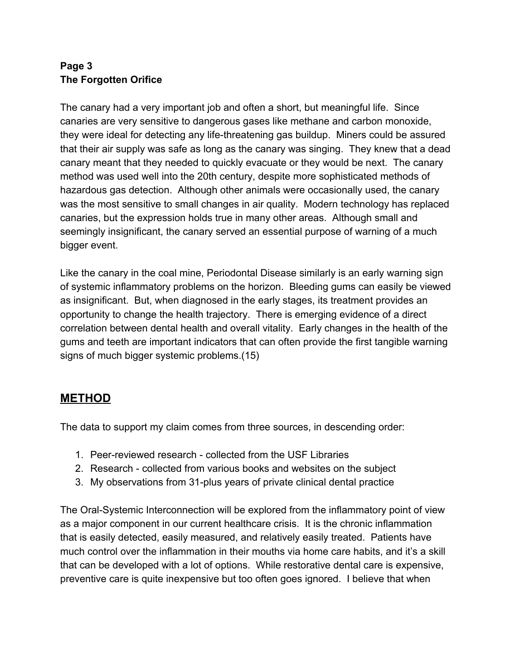#### **Page 3 The Forgotten Orifice**

The canary had a very important job and often a short, but meaningful life. Since canaries are very sensitive to dangerous gases like methane and carbon monoxide, they were ideal for detecting any life-threatening gas buildup. Miners could be assured that their air supply was safe as long as the canary was singing. They knew that a dead canary meant that they needed to quickly evacuate or they would be next. The canary method was used well into the 20th century, despite more sophisticated methods of hazardous gas detection. Although other animals were occasionally used, the canary was the most sensitive to small changes in air quality. Modern technology has replaced canaries, but the expression holds true in many other areas. Although small and seemingly insignificant, the canary served an essential purpose of warning of a much bigger event.

Like the canary in the coal mine, Periodontal Disease similarly is an early warning sign of systemic inflammatory problems on the horizon. Bleeding gums can easily be viewed as insignificant. But, when diagnosed in the early stages, its treatment provides an opportunity to change the health trajectory. There is emerging evidence of a direct correlation between dental health and overall vitality. Early changes in the health of the gums and teeth are important indicators that can often provide the first tangible warning signs of much bigger systemic problems.(15)

## **METHOD**

The data to support my claim comes from three sources, in descending order:

- 1. Peer-reviewed research collected from the USF Libraries
- 2. Research collected from various books and websites on the subject
- 3. My observations from 31-plus years of private clinical dental practice

The Oral-Systemic Interconnection will be explored from the inflammatory point of view as a major component in our current healthcare crisis. It is the chronic inflammation that is easily detected, easily measured, and relatively easily treated. Patients have much control over the inflammation in their mouths via home care habits, and it's a skill that can be developed with a lot of options. While restorative dental care is expensive, preventive care is quite inexpensive but too often goes ignored. I believe that when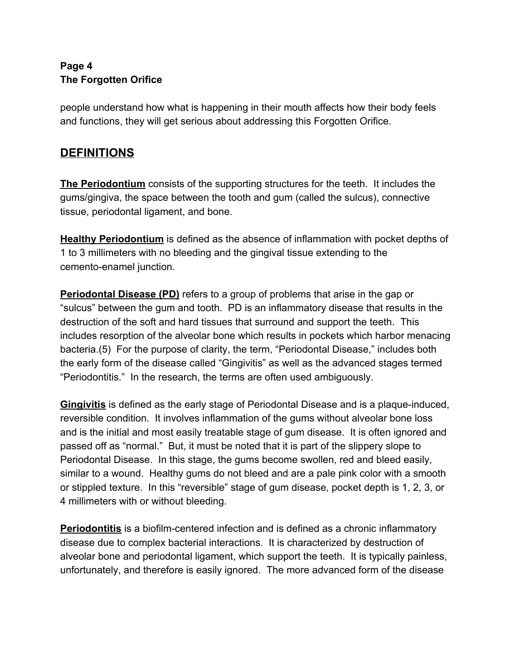#### **Page 4 The Forgotten Orifice**

people understand how what is happening in their mouth affects how their body feels and functions, they will get serious about addressing this Forgotten Orifice.

## **DEFINITIONS**

**The Periodontium** consists of the supporting structures for the teeth. It includes the gums/gingiva, the space between the tooth and gum (called the sulcus), connective tissue, periodontal ligament, and bone.

**Healthy Periodontium** is defined as the absence of inflammation with pocket depths of 1 to 3 millimeters with no bleeding and the gingival tissue extending to the cemento-enamel junction.

**Periodontal Disease (PD)** refers to a group of problems that arise in the gap or "sulcus" between the gum and tooth. PD is an inflammatory disease that results in the destruction of the soft and hard tissues that surround and support the teeth. This includes resorption of the alveolar bone which results in pockets which harbor menacing bacteria.(5) For the purpose of clarity, the term, "Periodontal Disease," includes both the early form of the disease called "Gingivitis" as well as the advanced stages termed "Periodontitis." In the research, the terms are often used ambiguously.

**Gingivitis** is defined as the early stage of Periodontal Disease and is a plaque-induced, reversible condition. It involves inflammation of the gums without alveolar bone loss and is the initial and most easily treatable stage of gum disease. It is often ignored and passed off as "normal." But, it must be noted that it is part of the slippery slope to Periodontal Disease. In this stage, the gums become swollen, red and bleed easily, similar to a wound. Healthy gums do not bleed and are a pale pink color with a smooth or stippled texture. In this "reversible" stage of gum disease, pocket depth is 1, 2, 3, or 4 millimeters with or without bleeding.

**Periodontitis** is a biofilm-centered infection and is defined as a chronic inflammatory disease due to complex bacterial interactions. It is characterized by destruction of alveolar bone and periodontal ligament, which support the teeth. It is typically painless, unfortunately, and therefore is easily ignored. The more advanced form of the disease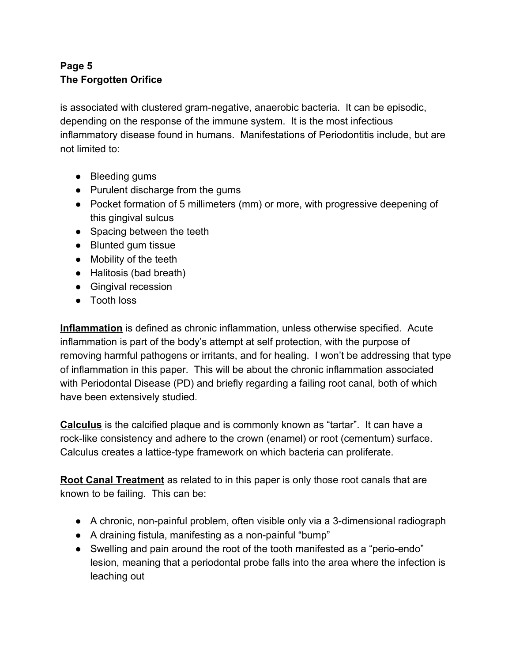#### **Page 5 The Forgotten Orifice**

is associated with clustered gram-negative, anaerobic bacteria. It can be episodic, depending on the response of the immune system. It is the most infectious inflammatory disease found in humans. Manifestations of Periodontitis include, but are not limited to:

- Bleeding gums
- Purulent discharge from the gums
- Pocket formation of 5 millimeters (mm) or more, with progressive deepening of this gingival sulcus
- Spacing between the teeth
- Blunted gum tissue
- Mobility of the teeth
- Halitosis (bad breath)
- Gingival recession
- Tooth loss

**Inflammation** is defined as chronic inflammation, unless otherwise specified. Acute inflammation is part of the body's attempt at self protection, with the purpose of removing harmful pathogens or irritants, and for healing. I won't be addressing that type of inflammation in this paper. This will be about the chronic inflammation associated with Periodontal Disease (PD) and briefly regarding a failing root canal, both of which have been extensively studied.

**Calculus** is the calcified plaque and is commonly known as "tartar". It can have a rock-like consistency and adhere to the crown (enamel) or root (cementum) surface. Calculus creates a lattice-type framework on which bacteria can proliferate.

**Root Canal Treatment** as related to in this paper is only those root canals that are known to be failing. This can be:

- A chronic, non-painful problem, often visible only via a 3-dimensional radiograph
- A draining fistula, manifesting as a non-painful "bump"
- Swelling and pain around the root of the tooth manifested as a "perio-endo" lesion, meaning that a periodontal probe falls into the area where the infection is leaching out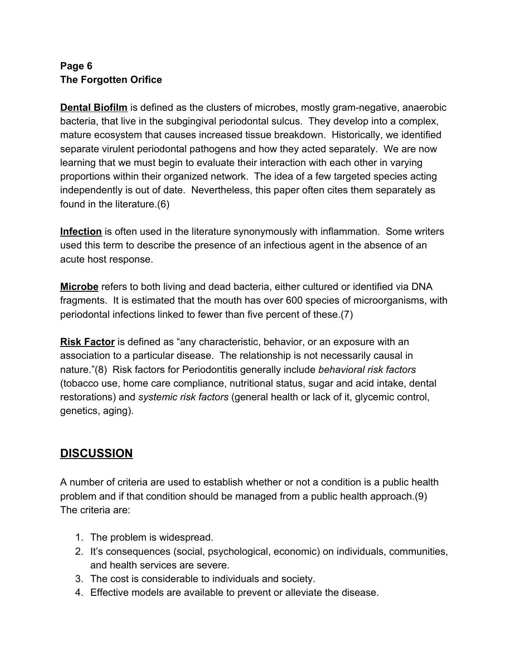#### **Page 6 The Forgotten Orifice**

**Dental Biofilm** is defined as the clusters of microbes, mostly gram-negative, anaerobic bacteria, that live in the subgingival periodontal sulcus. They develop into a complex, mature ecosystem that causes increased tissue breakdown. Historically, we identified separate virulent periodontal pathogens and how they acted separately. We are now learning that we must begin to evaluate their interaction with each other in varying proportions within their organized network. The idea of a few targeted species acting independently is out of date. Nevertheless, this paper often cites them separately as found in the literature.(6)

**Infection** is often used in the literature synonymously with inflammation. Some writers used this term to describe the presence of an infectious agent in the absence of an acute host response.

**Microbe** refers to both living and dead bacteria, either cultured or identified via DNA fragments. It is estimated that the mouth has over 600 species of microorganisms, with periodontal infections linked to fewer than five percent of these.(7)

**Risk Factor** is defined as "any characteristic, behavior, or an exposure with an association to a particular disease. The relationship is not necessarily causal in nature."(8) Risk factors for Periodontitis generally include *behavioral risk factors* (tobacco use, home care compliance, nutritional status, sugar and acid intake, dental restorations) and *systemic risk factors* (general health or lack of it, glycemic control, genetics, aging).

## **DISCUSSION**

A number of criteria are used to establish whether or not a condition is a public health problem and if that condition should be managed from a public health approach.(9) The criteria are:

- 1. The problem is widespread.
- 2. It's consequences (social, psychological, economic) on individuals, communities, and health services are severe.
- 3. The cost is considerable to individuals and society.
- 4. Effective models are available to prevent or alleviate the disease.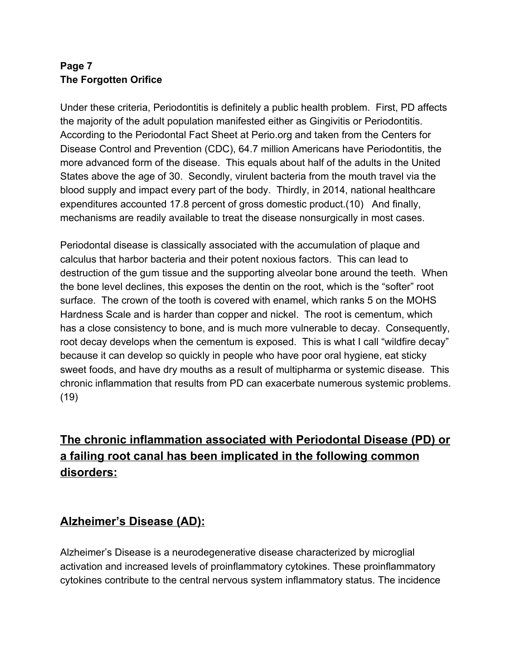#### **Page 7 The Forgotten Orifice**

Under these criteria, Periodontitis is definitely a public health problem. First, PD affects the majority of the adult population manifested either as Gingivitis or Periodontitis. According to the Periodontal Fact Sheet at Perio.org and taken from the Centers for Disease Control and Prevention (CDC), 64.7 million Americans have Periodontitis, the more advanced form of the disease. This equals about half of the adults in the United States above the age of 30. Secondly, virulent bacteria from the mouth travel via the blood supply and impact every part of the body. Thirdly, in 2014, national healthcare expenditures accounted 17.8 percent of gross domestic product.(10) And finally, mechanisms are readily available to treat the disease nonsurgically in most cases.

Periodontal disease is classically associated with the accumulation of plaque and calculus that harbor bacteria and their potent noxious factors. This can lead to destruction of the gum tissue and the supporting alveolar bone around the teeth. When the bone level declines, this exposes the dentin on the root, which is the "softer" root surface. The crown of the tooth is covered with enamel, which ranks 5 on the MOHS Hardness Scale and is harder than copper and nickel. The root is cementum, which has a close consistency to bone, and is much more vulnerable to decay. Consequently, root decay develops when the cementum is exposed. This is what I call "wildfire decay" because it can develop so quickly in people who have poor oral hygiene, eat sticky sweet foods, and have dry mouths as a result of multipharma or systemic disease. This chronic inflammation that results from PD can exacerbate numerous systemic problems. (19)

## **The chronic inflammation associated with Periodontal Disease (PD) or a failing root canal has been implicated in the following common disorders:**

## **Alzheimer's Disease (AD):**

Alzheimer's Disease is a neurodegenerative disease characterized by microglial activation and increased levels of proinflammatory cytokines. These proinflammatory cytokines contribute to the central nervous system inflammatory status. The incidence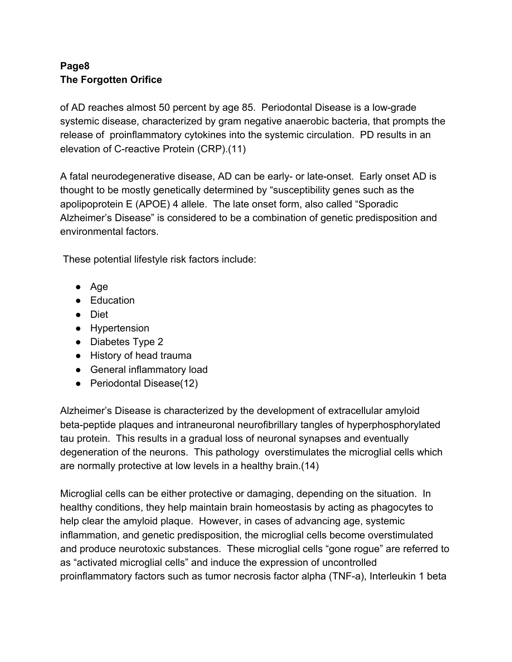#### **Page8 The Forgotten Orifice**

of AD reaches almost 50 percent by age 85. Periodontal Disease is a low-grade systemic disease, characterized by gram negative anaerobic bacteria, that prompts the release of proinflammatory cytokines into the systemic circulation. PD results in an elevation of C-reactive Protein (CRP).(11)

A fatal neurodegenerative disease, AD can be early- or late-onset. Early onset AD is thought to be mostly genetically determined by "susceptibility genes such as the apolipoprotein E (APOE) 4 allele. The late onset form, also called "Sporadic Alzheimer's Disease" is considered to be a combination of genetic predisposition and environmental factors.

These potential lifestyle risk factors include:

- Age
- Education
- Diet
- Hypertension
- Diabetes Type 2
- History of head trauma
- General inflammatory load
- Periodontal Disease(12)

Alzheimer's Disease is characterized by the development of extracellular amyloid beta-peptide plaques and intraneuronal neurofibrillary tangles of hyperphosphorylated tau protein. This results in a gradual loss of neuronal synapses and eventually degeneration of the neurons. This pathology overstimulates the microglial cells which are normally protective at low levels in a healthy brain.(14)

Microglial cells can be either protective or damaging, depending on the situation. In healthy conditions, they help maintain brain homeostasis by acting as phagocytes to help clear the amyloid plaque. However, in cases of advancing age, systemic inflammation, and genetic predisposition, the microglial cells become overstimulated and produce neurotoxic substances. These microglial cells "gone rogue" are referred to as "activated microglial cells" and induce the expression of uncontrolled proinflammatory factors such as tumor necrosis factor alpha (TNF-a), Interleukin 1 beta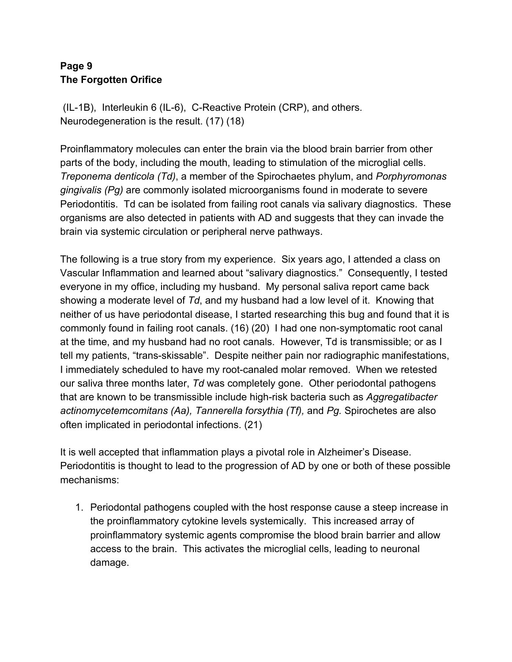#### **Page 9 The Forgotten Orifice**

 (IL-1B), Interleukin 6 (IL-6), C-Reactive Protein (CRP), and others. Neurodegeneration is the result. (17) (18)

Proinflammatory molecules can enter the brain via the blood brain barrier from other parts of the body, including the mouth, leading to stimulation of the microglial cells. *Treponema denticola (Td)*, a member of the Spirochaetes phylum, and *Porphyromonas gingivalis (Pg)* are commonly isolated microorganisms found in moderate to severe Periodontitis. Td can be isolated from failing root canals via salivary diagnostics. These organisms are also detected in patients with AD and suggests that they can invade the brain via systemic circulation or peripheral nerve pathways.

The following is a true story from my experience. Six years ago, I attended a class on Vascular Inflammation and learned about "salivary diagnostics." Consequently, I tested everyone in my office, including my husband. My personal saliva report came back showing a moderate level of *Td*, and my husband had a low level of it. Knowing that neither of us have periodontal disease, I started researching this bug and found that it is commonly found in failing root canals. (16) (20) I had one non-symptomatic root canal at the time, and my husband had no root canals. However, Td is transmissible; or as I tell my patients, "trans-skissable". Despite neither pain nor radiographic manifestations, I immediately scheduled to have my root-canaled molar removed. When we retested our saliva three months later, *Td* was completely gone. Other periodontal pathogens that are known to be transmissible include high-risk bacteria such as *Aggregatibacter actinomycetemcomitans (Aa), Tannerella forsythia (Tf),* and *Pg.* Spirochetes are also often implicated in periodontal infections. (21)

It is well accepted that inflammation plays a pivotal role in Alzheimer's Disease. Periodontitis is thought to lead to the progression of AD by one or both of these possible mechanisms:

1. Periodontal pathogens coupled with the host response cause a steep increase in the proinflammatory cytokine levels systemically. This increased array of proinflammatory systemic agents compromise the blood brain barrier and allow access to the brain. This activates the microglial cells, leading to neuronal damage.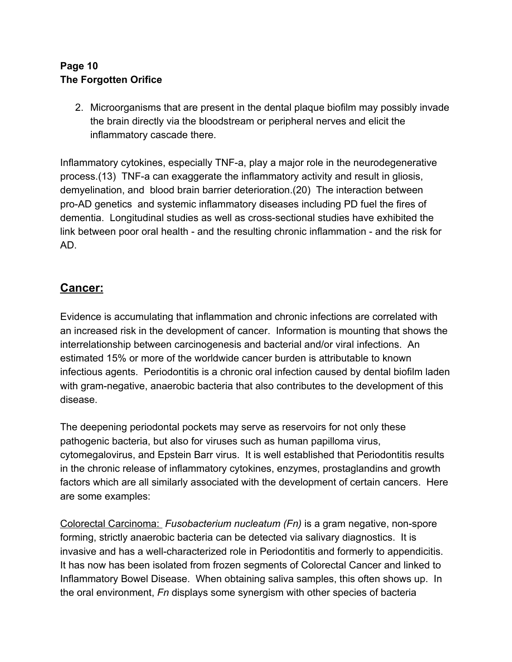#### **Page 10 The Forgotten Orifice**

2. Microorganisms that are present in the dental plaque biofilm may possibly invade the brain directly via the bloodstream or peripheral nerves and elicit the inflammatory cascade there.

Inflammatory cytokines, especially TNF-a, play a major role in the neurodegenerative process.(13) TNF-a can exaggerate the inflammatory activity and result in gliosis, demyelination, and blood brain barrier deterioration.(20) The interaction between pro-AD genetics and systemic inflammatory diseases including PD fuel the fires of dementia. Longitudinal studies as well as cross-sectional studies have exhibited the link between poor oral health - and the resulting chronic inflammation - and the risk for AD.

#### **Cancer:**

Evidence is accumulating that inflammation and chronic infections are correlated with an increased risk in the development of cancer. Information is mounting that shows the interrelationship between carcinogenesis and bacterial and/or viral infections. An estimated 15% or more of the worldwide cancer burden is attributable to known infectious agents. Periodontitis is a chronic oral infection caused by dental biofilm laden with gram-negative, anaerobic bacteria that also contributes to the development of this disease.

The deepening periodontal pockets may serve as reservoirs for not only these pathogenic bacteria, but also for viruses such as human papilloma virus, cytomegalovirus, and Epstein Barr virus. It is well established that Periodontitis results in the chronic release of inflammatory cytokines, enzymes, prostaglandins and growth factors which are all similarly associated with the development of certain cancers. Here are some examples:

Colorectal Carcinoma: *Fusobacterium nucleatum (Fn)* is a gram negative, non-spore forming, strictly anaerobic bacteria can be detected via salivary diagnostics. It is invasive and has a well-characterized role in Periodontitis and formerly to appendicitis. It has now has been isolated from frozen segments of Colorectal Cancer and linked to Inflammatory Bowel Disease. When obtaining saliva samples, this often shows up. In the oral environment, *Fn* displays some synergism with other species of bacteria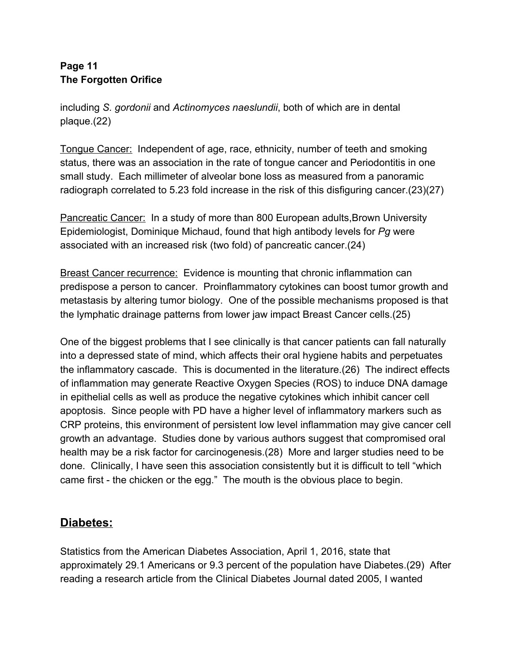#### **Page 11 The Forgotten Orifice**

including *S. gordonii* and *Actinomyces naeslundii*, both of which are in dental plaque.(22)

Tongue Cancer: Independent of age, race, ethnicity, number of teeth and smoking status, there was an association in the rate of tongue cancer and Periodontitis in one small study. Each millimeter of alveolar bone loss as measured from a panoramic radiograph correlated to 5.23 fold increase in the risk of this disfiguring cancer.(23)(27)

Pancreatic Cancer: In a study of more than 800 European adults,Brown University Epidemiologist, Dominique Michaud, found that high antibody levels for *Pg* were associated with an increased risk (two fold) of pancreatic cancer.(24)

Breast Cancer recurrence: Evidence is mounting that chronic inflammation can predispose a person to cancer. Proinflammatory cytokines can boost tumor growth and metastasis by altering tumor biology. One of the possible mechanisms proposed is that the lymphatic drainage patterns from lower jaw impact Breast Cancer cells.(25)

One of the biggest problems that I see clinically is that cancer patients can fall naturally into a depressed state of mind, which affects their oral hygiene habits and perpetuates the inflammatory cascade. This is documented in the literature.(26) The indirect effects of inflammation may generate Reactive Oxygen Species (ROS) to induce DNA damage in epithelial cells as well as produce the negative cytokines which inhibit cancer cell apoptosis. Since people with PD have a higher level of inflammatory markers such as CRP proteins, this environment of persistent low level inflammation may give cancer cell growth an advantage. Studies done by various authors suggest that compromised oral health may be a risk factor for carcinogenesis.(28) More and larger studies need to be done. Clinically, I have seen this association consistently but it is difficult to tell "which came first - the chicken or the egg." The mouth is the obvious place to begin.

## **Diabetes:**

Statistics from the American Diabetes Association, April 1, 2016, state that approximately 29.1 Americans or 9.3 percent of the population have Diabetes.(29) After reading a research article from the Clinical Diabetes Journal dated 2005, I wanted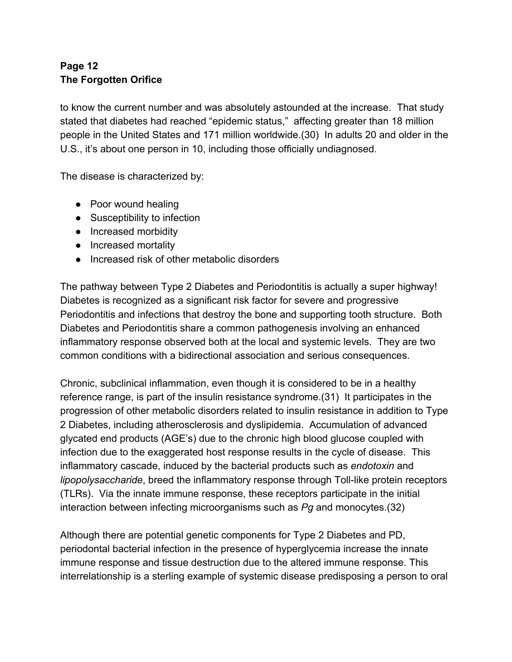#### **Page 12 The Forgotten Orifice**

to know the current number and was absolutely astounded at the increase. That study stated that diabetes had reached "epidemic status," affecting greater than 18 million people in the United States and 171 million worldwide.(30) In adults 20 and older in the U.S., it's about one person in 10, including those officially undiagnosed.

The disease is characterized by:

- Poor wound healing
- Susceptibility to infection
- Increased morbidity
- Increased mortality
- Increased risk of other metabolic disorders

The pathway between Type 2 Diabetes and Periodontitis is actually a super highway! Diabetes is recognized as a significant risk factor for severe and progressive Periodontitis and infections that destroy the bone and supporting tooth structure. Both Diabetes and Periodontitis share a common pathogenesis involving an enhanced inflammatory response observed both at the local and systemic levels. They are two common conditions with a bidirectional association and serious consequences.

Chronic, subclinical inflammation, even though it is considered to be in a healthy reference range, is part of the insulin resistance syndrome.(31) It participates in the progression of other metabolic disorders related to insulin resistance in addition to Type 2 Diabetes, including atherosclerosis and dyslipidemia. Accumulation of advanced glycated end products (AGE's) due to the chronic high blood glucose coupled with infection due to the exaggerated host response results in the cycle of disease. This inflammatory cascade, induced by the bacterial products such as *endotoxin* and *lipopolysaccharide*, breed the inflammatory response through Toll-like protein receptors (TLRs). Via the innate immune response, these receptors participate in the initial interaction between infecting microorganisms such as *Pg* and monocytes.(32)

Although there are potential genetic components for Type 2 Diabetes and PD, periodontal bacterial infection in the presence of hyperglycemia increase the innate immune response and tissue destruction due to the altered immune response. This interrelationship is a sterling example of systemic disease predisposing a person to oral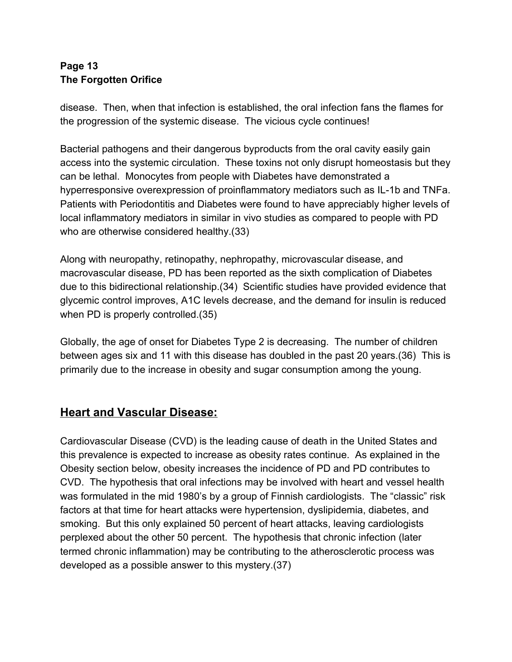#### **Page 13 The Forgotten Orifice**

disease. Then, when that infection is established, the oral infection fans the flames for the progression of the systemic disease. The vicious cycle continues!

Bacterial pathogens and their dangerous byproducts from the oral cavity easily gain access into the systemic circulation. These toxins not only disrupt homeostasis but they can be lethal. Monocytes from people with Diabetes have demonstrated a hyperresponsive overexpression of proinflammatory mediators such as IL-1b and TNFa. Patients with Periodontitis and Diabetes were found to have appreciably higher levels of local inflammatory mediators in similar in vivo studies as compared to people with PD who are otherwise considered healthy.(33)

Along with neuropathy, retinopathy, nephropathy, microvascular disease, and macrovascular disease, PD has been reported as the sixth complication of Diabetes due to this bidirectional relationship.(34) Scientific studies have provided evidence that glycemic control improves, A1C levels decrease, and the demand for insulin is reduced when PD is properly controlled.(35)

Globally, the age of onset for Diabetes Type 2 is decreasing. The number of children between ages six and 11 with this disease has doubled in the past 20 years.(36) This is primarily due to the increase in obesity and sugar consumption among the young.

## **Heart and Vascular Disease:**

Cardiovascular Disease (CVD) is the leading cause of death in the United States and this prevalence is expected to increase as obesity rates continue. As explained in the Obesity section below, obesity increases the incidence of PD and PD contributes to CVD. The hypothesis that oral infections may be involved with heart and vessel health was formulated in the mid 1980's by a group of Finnish cardiologists. The "classic" risk factors at that time for heart attacks were hypertension, dyslipidemia, diabetes, and smoking. But this only explained 50 percent of heart attacks, leaving cardiologists perplexed about the other 50 percent. The hypothesis that chronic infection (later termed chronic inflammation) may be contributing to the atherosclerotic process was developed as a possible answer to this mystery.(37)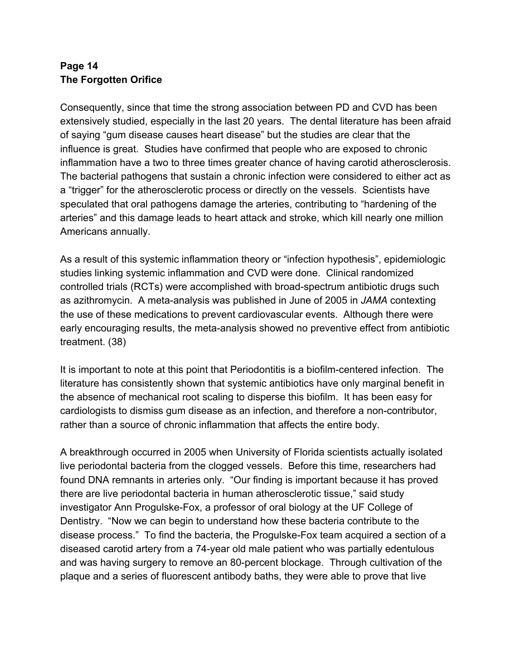#### **Page 14 The Forgotten Orifice**

Consequently, since that time the strong association between PD and CVD has been extensively studied, especially in the last 20 years. The dental literature has been afraid of saying "gum disease causes heart disease" but the studies are clear that the influence is great. Studies have confirmed that people who are exposed to chronic inflammation have a two to three times greater chance of having carotid atherosclerosis. The bacterial pathogens that sustain a chronic infection were considered to either act as a "trigger" for the atherosclerotic process or directly on the vessels. Scientists have speculated that oral pathogens damage the arteries, contributing to "hardening of the arteries" and this damage leads to heart attack and stroke, which kill nearly one million Americans annually.

As a result of this systemic inflammation theory or "infection hypothesis", epidemiologic studies linking systemic inflammation and CVD were done. Clinical randomized controlled trials (RCTs) were accomplished with broad-spectrum antibiotic drugs such as azithromycin. A meta-analysis was published in June of 2005 in *JAMA* contexting the use of these medications to prevent cardiovascular events. Although there were early encouraging results, the meta-analysis showed no preventive effect from antibiotic treatment. (38)

It is important to note at this point that Periodontitis is a biofilm-centered infection. The literature has consistently shown that systemic antibiotics have only marginal benefit in the absence of mechanical root scaling to disperse this biofilm. It has been easy for cardiologists to dismiss gum disease as an infection, and therefore a non-contributor, rather than a source of chronic inflammation that affects the entire body.

A breakthrough occurred in 2005 when University of Florida scientists actually isolated live periodontal bacteria from the clogged vessels. Before this time, researchers had found DNA remnants in arteries only. "Our finding is important because it has proved there are live periodontal bacteria in human atherosclerotic tissue," said study investigator Ann Progulske-Fox, a professor of oral biology at the UF College of Dentistry. "Now we can begin to understand how these bacteria contribute to the disease process." To find the bacteria, the Progulske-Fox team acquired a section of a diseased carotid artery from a 74-year old male patient who was partially edentulous and was having surgery to remove an 80-percent blockage. Through cultivation of the plaque and a series of fluorescent antibody baths, they were able to prove that live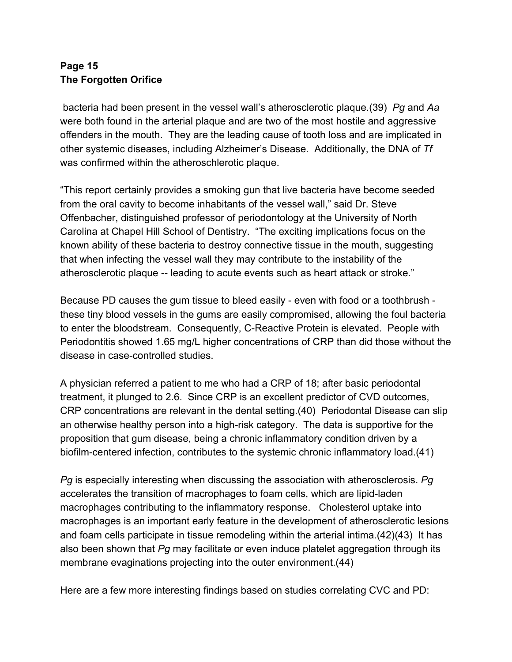#### **Page 15 The Forgotten Orifice**

 bacteria had been present in the vessel wall's atherosclerotic plaque.(39) *Pg* and *Aa* were both found in the arterial plaque and are two of the most hostile and aggressive offenders in the mouth. They are the leading cause of tooth loss and are implicated in other systemic diseases, including Alzheimer's Disease. Additionally, the DNA of *Tf* was confirmed within the atheroschlerotic plaque.

"This report certainly provides a smoking gun that live bacteria have become seeded from the oral cavity to become inhabitants of the vessel wall," said Dr. Steve Offenbacher, distinguished professor of periodontology at the University of North Carolina at Chapel Hill School of Dentistry. "The exciting implications focus on the known ability of these bacteria to destroy connective tissue in the mouth, suggesting that when infecting the vessel wall they may contribute to the instability of the atherosclerotic plaque -- leading to acute events such as heart attack or stroke."

Because PD causes the gum tissue to bleed easily - even with food or a toothbrush these tiny blood vessels in the gums are easily compromised, allowing the foul bacteria to enter the bloodstream. Consequently, C-Reactive Protein is elevated. People with Periodontitis showed 1.65 mg/L higher concentrations of CRP than did those without the disease in case-controlled studies.

A physician referred a patient to me who had a CRP of 18; after basic periodontal treatment, it plunged to 2.6. Since CRP is an excellent predictor of CVD outcomes, CRP concentrations are relevant in the dental setting.(40) Periodontal Disease can slip an otherwise healthy person into a high-risk category. The data is supportive for the proposition that gum disease, being a chronic inflammatory condition driven by a biofilm-centered infection, contributes to the systemic chronic inflammatory load.(41)

*Pg* is especially interesting when discussing the association with atherosclerosis. *Pg* accelerates the transition of macrophages to foam cells, which are lipid-laden macrophages contributing to the inflammatory response. Cholesterol uptake into macrophages is an important early feature in the development of atherosclerotic lesions and foam cells participate in tissue remodeling within the arterial intima.(42)(43) It has also been shown that *Pg* may facilitate or even induce platelet aggregation through its membrane evaginations projecting into the outer environment.(44)

Here are a few more interesting findings based on studies correlating CVC and PD: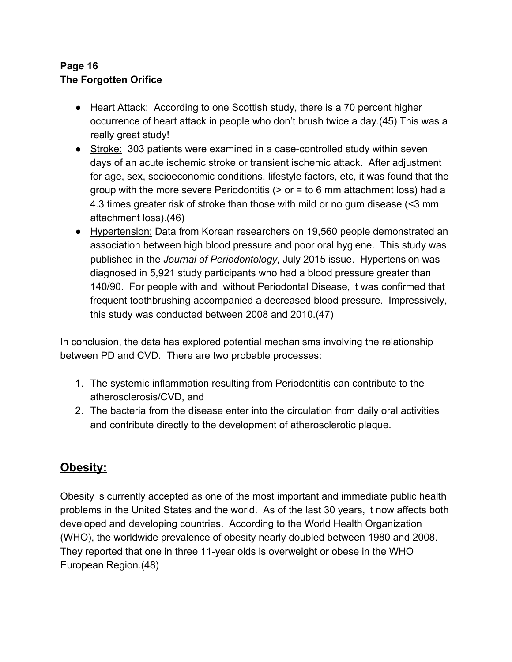#### **Page 16 The Forgotten Orifice**

- Heart Attack: According to one Scottish study, there is a 70 percent higher occurrence of heart attack in people who don't brush twice a day.(45) This was a really great study!
- Stroke: 303 patients were examined in a case-controlled study within seven days of an acute ischemic stroke or transient ischemic attack. After adjustment for age, sex, socioeconomic conditions, lifestyle factors, etc, it was found that the group with the more severe Periodontitis  $(0)$  or  $=$  to 6 mm attachment loss) had a 4.3 times greater risk of stroke than those with mild or no gum disease (<3 mm attachment loss).(46)
- Hypertension: Data from Korean researchers on 19,560 people demonstrated an association between high blood pressure and poor oral hygiene. This study was published in the *Journal of Periodontology*, July 2015 issue. Hypertension was diagnosed in 5,921 study participants who had a blood pressure greater than 140/90. For people with and without Periodontal Disease, it was confirmed that frequent toothbrushing accompanied a decreased blood pressure. Impressively, this study was conducted between 2008 and 2010.(47)

In conclusion, the data has explored potential mechanisms involving the relationship between PD and CVD. There are two probable processes:

- 1. The systemic inflammation resulting from Periodontitis can contribute to the atherosclerosis/CVD, and
- 2. The bacteria from the disease enter into the circulation from daily oral activities and contribute directly to the development of atherosclerotic plaque.

## **Obesity:**

Obesity is currently accepted as one of the most important and immediate public health problems in the United States and the world. As of the last 30 years, it now affects both developed and developing countries. According to the World Health Organization (WHO), the worldwide prevalence of obesity nearly doubled between 1980 and 2008. They reported that one in three 11-year olds is overweight or obese in the WHO European Region.(48)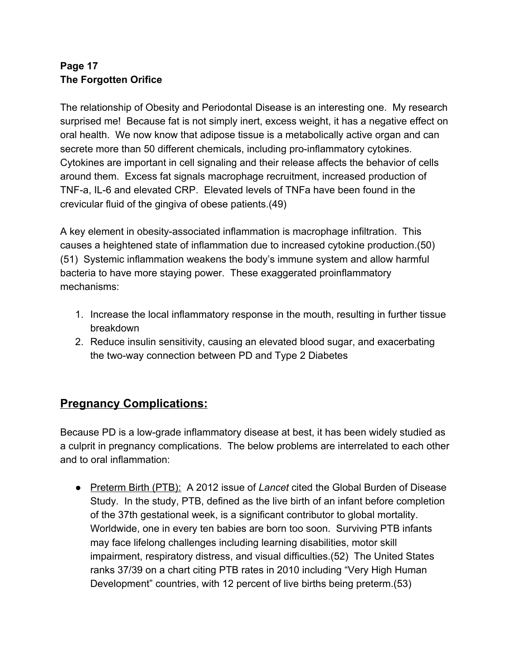#### **Page 17 The Forgotten Orifice**

The relationship of Obesity and Periodontal Disease is an interesting one. My research surprised me! Because fat is not simply inert, excess weight, it has a negative effect on oral health. We now know that adipose tissue is a metabolically active organ and can secrete more than 50 different chemicals, including pro-inflammatory cytokines. Cytokines are important in cell signaling and their release affects the behavior of cells around them. Excess fat signals macrophage recruitment, increased production of TNF-a, IL-6 and elevated CRP. Elevated levels of TNFa have been found in the crevicular fluid of the gingiva of obese patients.(49)

A key element in obesity-associated inflammation is macrophage infiltration. This causes a heightened state of inflammation due to increased cytokine production.(50) (51) Systemic inflammation weakens the body's immune system and allow harmful bacteria to have more staying power. These exaggerated proinflammatory mechanisms:

- 1. Increase the local inflammatory response in the mouth, resulting in further tissue breakdown
- 2. Reduce insulin sensitivity, causing an elevated blood sugar, and exacerbating the two-way connection between PD and Type 2 Diabetes

## **Pregnancy Complications:**

Because PD is a low-grade inflammatory disease at best, it has been widely studied as a culprit in pregnancy complications. The below problems are interrelated to each other and to oral inflammation:

● Preterm Birth (PTB): A 2012 issue of *Lancet* cited the Global Burden of Disease Study. In the study, PTB, defined as the live birth of an infant before completion of the 37th gestational week, is a significant contributor to global mortality. Worldwide, one in every ten babies are born too soon. Surviving PTB infants may face lifelong challenges including learning disabilities, motor skill impairment, respiratory distress, and visual difficulties.(52) The United States ranks 37/39 on a chart citing PTB rates in 2010 including "Very High Human Development" countries, with 12 percent of live births being preterm.(53)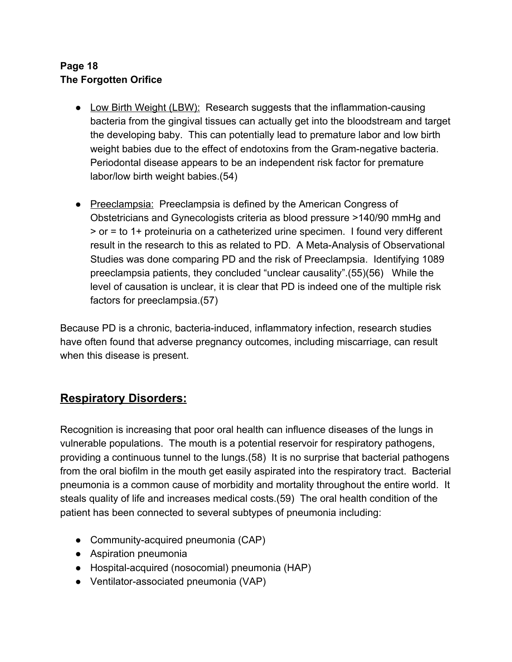#### **Page 18 The Forgotten Orifice**

- Low Birth Weight (LBW): Research suggests that the inflammation-causing bacteria from the gingival tissues can actually get into the bloodstream and target the developing baby. This can potentially lead to premature labor and low birth weight babies due to the effect of endotoxins from the Gram-negative bacteria. Periodontal disease appears to be an independent risk factor for premature labor/low birth weight babies.(54)
- Preeclampsia: Preeclampsia is defined by the American Congress of Obstetricians and Gynecologists criteria as blood pressure >140/90 mmHg and > or = to 1+ proteinuria on a catheterized urine specimen. I found very different result in the research to this as related to PD. A Meta-Analysis of Observational Studies was done comparing PD and the risk of Preeclampsia. Identifying 1089 preeclampsia patients, they concluded "unclear causality".(55)(56) While the level of causation is unclear, it is clear that PD is indeed one of the multiple risk factors for preeclampsia.(57)

Because PD is a chronic, bacteria-induced, inflammatory infection, research studies have often found that adverse pregnancy outcomes, including miscarriage, can result when this disease is present.

## **Respiratory Disorders:**

Recognition is increasing that poor oral health can influence diseases of the lungs in vulnerable populations. The mouth is a potential reservoir for respiratory pathogens, providing a continuous tunnel to the lungs.(58) It is no surprise that bacterial pathogens from the oral biofilm in the mouth get easily aspirated into the respiratory tract. Bacterial pneumonia is a common cause of morbidity and mortality throughout the entire world. It steals quality of life and increases medical costs.(59) The oral health condition of the patient has been connected to several subtypes of pneumonia including:

- Community-acquired pneumonia (CAP)
- Aspiration pneumonia
- Hospital-acquired (nosocomial) pneumonia (HAP)
- Ventilator-associated pneumonia (VAP)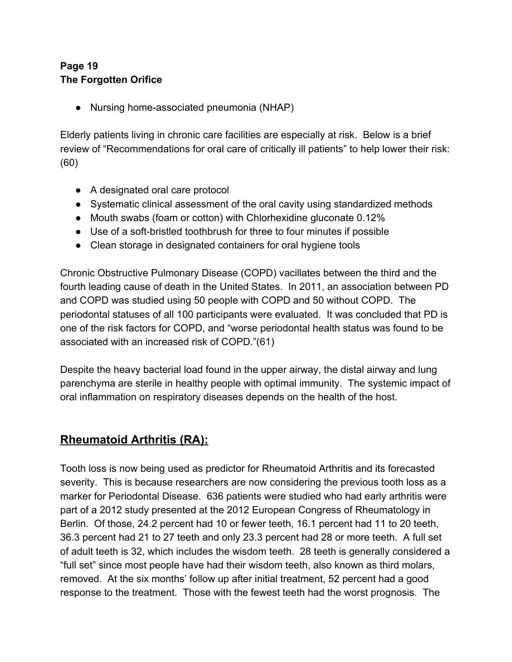#### **Page 19 The Forgotten Orifice**

● Nursing home-associated pneumonia (NHAP)

Elderly patients living in chronic care facilities are especially at risk. Below is a brief review of "Recommendations for oral care of critically ill patients" to help lower their risk: (60)

- A designated oral care protocol
- Systematic clinical assessment of the oral cavity using standardized methods
- Mouth swabs (foam or cotton) with Chlorhexidine gluconate 0.12%
- Use of a soft-bristled toothbrush for three to four minutes if possible
- Clean storage in designated containers for oral hygiene tools

Chronic Obstructive Pulmonary Disease (COPD) vacillates between the third and the fourth leading cause of death in the United States. In 2011, an association between PD and COPD was studied using 50 people with COPD and 50 without COPD. The periodontal statuses of all 100 participants were evaluated. It was concluded that PD is one of the risk factors for COPD, and "worse periodontal health status was found to be associated with an increased risk of COPD."(61)

Despite the heavy bacterial load found in the upper airway, the distal airway and lung parenchyma are sterile in healthy people with optimal immunity. The systemic impact of oral inflammation on respiratory diseases depends on the health of the host.

## **Rheumatoid Arthritis (RA):**

Tooth loss is now being used as predictor for Rheumatoid Arthritis and its forecasted severity. This is because researchers are now considering the previous tooth loss as a marker for Periodontal Disease. 636 patients were studied who had early arthritis were part of a 2012 study presented at the 2012 European Congress of Rheumatology in Berlin. Of those, 24.2 percent had 10 or fewer teeth, 16.1 percent had 11 to 20 teeth, 36.3 percent had 21 to 27 teeth and only 23.3 percent had 28 or more teeth. A full set of adult teeth is 32, which includes the wisdom teeth. 28 teeth is generally considered a "full set" since most people have had their wisdom teeth, also known as third molars, removed. At the six months' follow up after initial treatment, 52 percent had a good response to the treatment. Those with the fewest teeth had the worst prognosis. The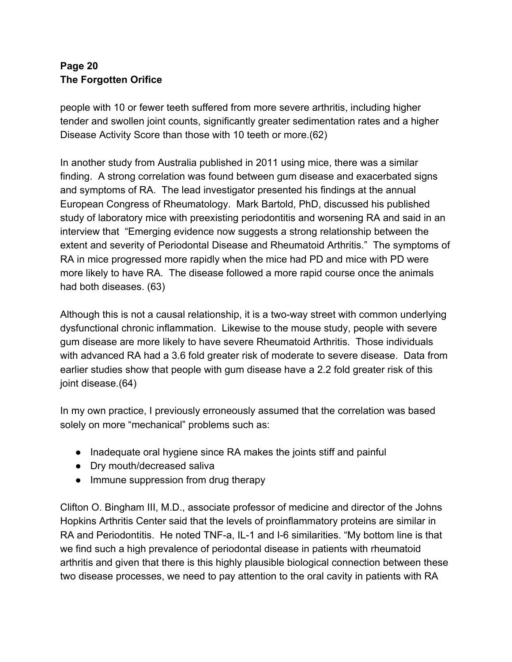#### **Page 20 The Forgotten Orifice**

people with 10 or fewer teeth suffered from more severe arthritis, including higher tender and swollen joint counts, significantly greater sedimentation rates and a higher Disease Activity Score than those with 10 teeth or more.(62)

In another study from Australia published in 2011 using mice, there was a similar finding. A strong correlation was found between gum disease and exacerbated signs and symptoms of RA. The lead investigator presented his findings at the annual European Congress of Rheumatology. Mark Bartold, PhD, discussed his published study of laboratory mice with preexisting periodontitis and worsening RA and said in an interview that "Emerging evidence now suggests a strong relationship between the extent and severity of Periodontal Disease and Rheumatoid Arthritis." The symptoms of RA in mice progressed more rapidly when the mice had PD and mice with PD were more likely to have RA. The disease followed a more rapid course once the animals had both diseases. (63)

Although this is not a causal relationship, it is a two-way street with common underlying dysfunctional chronic inflammation. Likewise to the mouse study, people with severe gum disease are more likely to have severe Rheumatoid Arthritis. Those individuals with advanced RA had a 3.6 fold greater risk of moderate to severe disease. Data from earlier studies show that people with gum disease have a 2.2 fold greater risk of this joint disease.(64)

In my own practice, I previously erroneously assumed that the correlation was based solely on more "mechanical" problems such as:

- Inadequate oral hygiene since RA makes the joints stiff and painful
- Dry mouth/decreased saliva
- Immune suppression from drug therapy

Clifton O. Bingham III, M.D., associate professor of medicine and director of the Johns Hopkins Arthritis Center said that the levels of proinflammatory proteins are similar in RA and Periodontitis. He noted TNF-a, IL-1 and I-6 similarities. "My bottom line is that we find such a high prevalence of periodontal disease in patients with rheumatoid arthritis and given that there is this highly plausible biological connection between these two disease processes, we need to pay attention to the oral cavity in patients with RA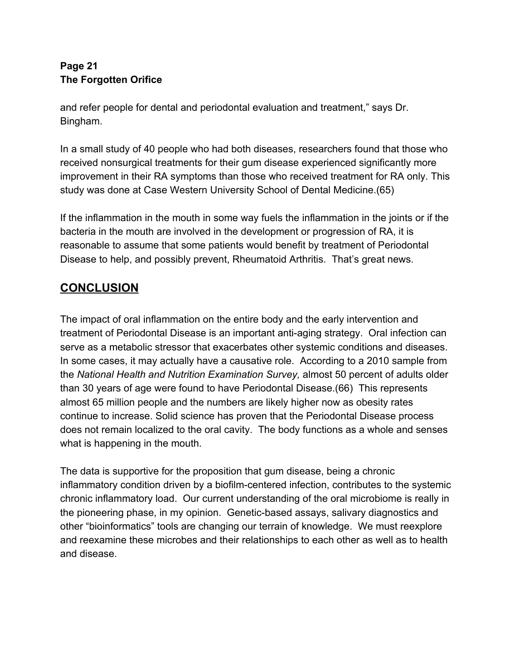#### **Page 21 The Forgotten Orifice**

and refer people for dental and periodontal evaluation and treatment," says Dr. Bingham.

In a small study of 40 people who had both diseases, researchers found that those who received nonsurgical treatments for their gum disease experienced significantly more improvement in their RA symptoms than those who received treatment for RA only. This study was done at Case Western University School of Dental Medicine.(65)

If the inflammation in the mouth in some way fuels the inflammation in the joints or if the bacteria in the mouth are involved in the development or progression of RA, it is reasonable to assume that some patients would benefit by treatment of Periodontal Disease to help, and possibly prevent, Rheumatoid Arthritis. That's great news.

## **CONCLUSION**

The impact of oral inflammation on the entire body and the early intervention and treatment of Periodontal Disease is an important anti-aging strategy. Oral infection can serve as a metabolic stressor that exacerbates other systemic conditions and diseases. In some cases, it may actually have a causative role. According to a 2010 sample from the *National Health and Nutrition Examination Survey,* almost 50 percent of adults older than 30 years of age were found to have Periodontal Disease.(66) This represents almost 65 million people and the numbers are likely higher now as obesity rates continue to increase. Solid science has proven that the Periodontal Disease process does not remain localized to the oral cavity. The body functions as a whole and senses what is happening in the mouth.

The data is supportive for the proposition that gum disease, being a chronic inflammatory condition driven by a biofilm-centered infection, contributes to the systemic chronic inflammatory load. Our current understanding of the oral microbiome is really in the pioneering phase, in my opinion. Genetic-based assays, salivary diagnostics and other "bioinformatics" tools are changing our terrain of knowledge. We must reexplore and reexamine these microbes and their relationships to each other as well as to health and disease.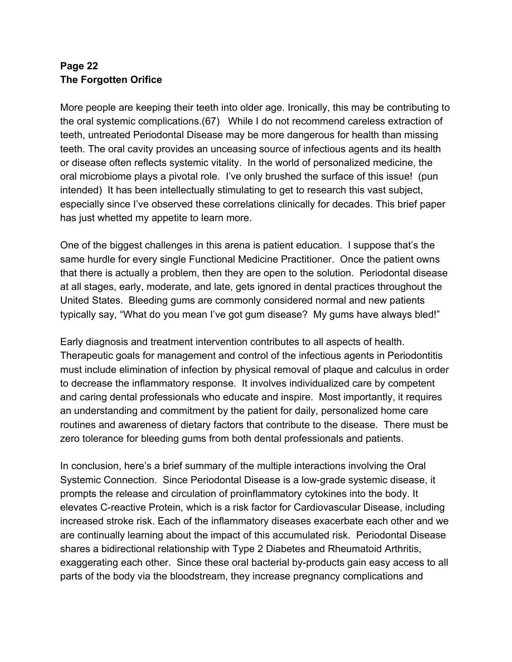#### **Page 22 The Forgotten Orifice**

More people are keeping their teeth into older age. Ironically, this may be contributing to the oral systemic complications.(67) While I do not recommend careless extraction of teeth, untreated Periodontal Disease may be more dangerous for health than missing teeth. The oral cavity provides an unceasing source of infectious agents and its health or disease often reflects systemic vitality. In the world of personalized medicine, the oral microbiome plays a pivotal role. I've only brushed the surface of this issue! (pun intended) It has been intellectually stimulating to get to research this vast subject, especially since I've observed these correlations clinically for decades. This brief paper has just whetted my appetite to learn more.

One of the biggest challenges in this arena is patient education. I suppose that's the same hurdle for every single Functional Medicine Practitioner. Once the patient owns that there is actually a problem, then they are open to the solution. Periodontal disease at all stages, early, moderate, and late, gets ignored in dental practices throughout the United States. Bleeding gums are commonly considered normal and new patients typically say, "What do you mean I've got gum disease? My gums have always bled!"

Early diagnosis and treatment intervention contributes to all aspects of health. Therapeutic goals for management and control of the infectious agents in Periodontitis must include elimination of infection by physical removal of plaque and calculus in order to decrease the inflammatory response. It involves individualized care by competent and caring dental professionals who educate and inspire. Most importantly, it requires an understanding and commitment by the patient for daily, personalized home care routines and awareness of dietary factors that contribute to the disease. There must be zero tolerance for bleeding gums from both dental professionals and patients.

In conclusion, here's a brief summary of the multiple interactions involving the Oral Systemic Connection. Since Periodontal Disease is a low-grade systemic disease, it prompts the release and circulation of proinflammatory cytokines into the body. It elevates C-reactive Protein, which is a risk factor for Cardiovascular Disease, including increased stroke risk. Each of the inflammatory diseases exacerbate each other and we are continually learning about the impact of this accumulated risk. Periodontal Disease shares a bidirectional relationship with Type 2 Diabetes and Rheumatoid Arthritis, exaggerating each other. Since these oral bacterial by-products gain easy access to all parts of the body via the bloodstream, they increase pregnancy complications and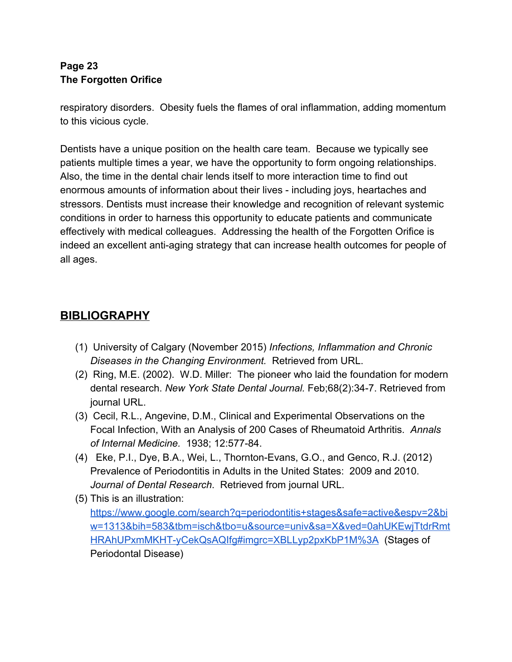#### **Page 23 The Forgotten Orifice**

respiratory disorders. Obesity fuels the flames of oral inflammation, adding momentum to this vicious cycle.

Dentists have a unique position on the health care team. Because we typically see patients multiple times a year, we have the opportunity to form ongoing relationships. Also, the time in the dental chair lends itself to more interaction time to find out enormous amounts of information about their lives - including joys, heartaches and stressors. Dentists must increase their knowledge and recognition of relevant systemic conditions in order to harness this opportunity to educate patients and communicate effectively with medical colleagues. Addressing the health of the Forgotten Orifice is indeed an excellent anti-aging strategy that can increase health outcomes for people of all ages.

## **BIBLIOGRAPHY**

- (1) University of Calgary (November 2015) *Infections, Inflammation and Chronic Diseases in the Changing Environment.* Retrieved from URL.
- (2) Ring, M.E. (2002). W.D. Miller: The pioneer who laid the foundation for modern dental research. *New York State Dental Journal.* Feb;68(2):34-7. Retrieved from journal URL.
- (3) Cecil, R.L., Angevine, D.M., Clinical and Experimental Observations on the Focal Infection, With an Analysis of 200 Cases of Rheumatoid Arthritis. *Annals of Internal Medicine.* 1938; 12:577-84.
- (4) Eke, P.I., Dye, B.A., Wei, L., Thornton-Evans, G.O., and Genco, R.J. (2012) Prevalence of Periodontitis in Adults in the United States: 2009 and 2010. *Journal of Dental Research*. Retrieved from journal URL.
- (5) This is an illustration:

[https://www.google.com/search?q=periodontitis+stages&safe=active&espv=2&bi](https://www.google.com/search?q=periodontitis+stages&safe=active&espv=2&biw=1313&bih=583&tbm=isch&tbo=u&source=univ&sa=X&ved=0ahUKEwjTtdrRmtHRAhUPxmMKHT-yCekQsAQIfg#imgrc=XBLLyp2pxKbP1M%3A) [w=1313&bih=583&tbm=isch&tbo=u&source=univ&sa=X&ved=0ahUKEwjTtdrRmt](https://www.google.com/search?q=periodontitis+stages&safe=active&espv=2&biw=1313&bih=583&tbm=isch&tbo=u&source=univ&sa=X&ved=0ahUKEwjTtdrRmtHRAhUPxmMKHT-yCekQsAQIfg#imgrc=XBLLyp2pxKbP1M%3A) [HRAhUPxmMKHT-yCekQsAQIfg#imgrc=XBLLyp2pxKbP1M%3A](https://www.google.com/search?q=periodontitis+stages&safe=active&espv=2&biw=1313&bih=583&tbm=isch&tbo=u&source=univ&sa=X&ved=0ahUKEwjTtdrRmtHRAhUPxmMKHT-yCekQsAQIfg#imgrc=XBLLyp2pxKbP1M%3A) (Stages of Periodontal Disease)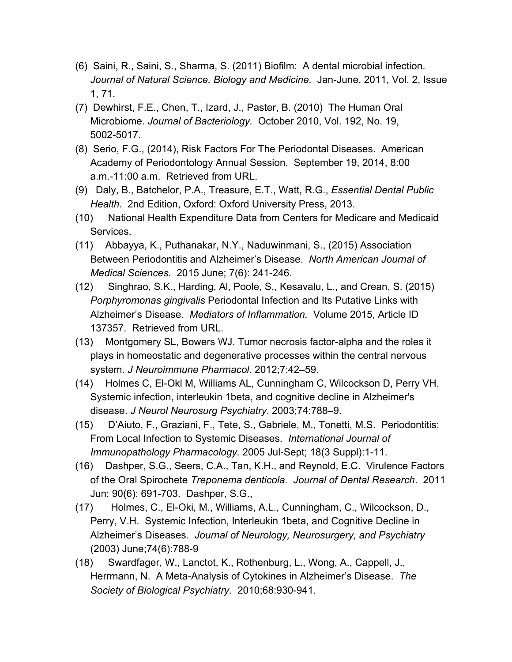- (6) Saini, R., Saini, S., Sharma, S. (2011) Biofilm: A dental microbial infection. *Journal of Natural Science, Biology and Medicine.* Jan-June, 2011, Vol. 2, Issue 1, 71.
- (7) Dewhirst, F.E., Chen, T., Izard, J., Paster, B. (2010) The Human Oral Microbiome. *Journal of Bacteriology.* October 2010, Vol. 192, No. 19, 5002-5017.
- (8) Serio, F.G., (2014), Risk Factors For The Periodontal Diseases. American Academy of Periodontology Annual Session. September 19, 2014, 8:00 a.m.-11:00 a.m. Retrieved from URL.
- (9) Daly, B., Batchelor, P.A., Treasure, E.T., Watt, R.G., *Essential Dental Public Health.* 2nd Edition, Oxford: Oxford University Press, 2013.
- (10) National Health Expenditure Data from Centers for Medicare and Medicaid Services.
- (11) Abbayya, K., Puthanakar, N.Y., Naduwinmani, S., (2015) Association Between Periodontitis and Alzheimer's Disease. *North American Journal of Medical Sciences.* 2015 June; 7(6): 241-246.
- (12) Singhrao, S.K., Harding, Al, Poole, S., Kesavalu, L., and Crean, S. (2015) *Porphyromonas gingivalis* Periodontal Infection and Its Putative Links with Alzheimer's Disease. *Mediators of Inflammation.* Volume 2015, Article ID 137357. Retrieved from URL.
- (13) Montgomery SL, Bowers WJ. Tumor necrosis factor-alpha and the roles it plays in homeostatic and degenerative processes within the central nervous system. *J Neuroimmune Pharmacol.* 2012;7:42–59.
- (14) Holmes C, El-Okl M, Williams AL, Cunningham C, Wilcockson D, Perry VH. Systemic infection, interleukin 1beta, and cognitive decline in Alzheimer's disease. *J Neurol Neurosurg Psychiatry*. 2003;74:788–9.
- (15) D'Aiuto, F., Graziani, F., Tete, S., Gabriele, M., Tonetti, M.S. Periodontitis: From Local Infection to Systemic Diseases. *International Journal of Immunopathology Pharmacology.* 2005 Jul-Sept; 18(3 Suppl):1-11.
- (16) Dashper, S.G., Seers, C.A., Tan, K.H., and Reynold, E.C. Virulence Factors of the Oral Spirochete *Treponema denticola. Journal of Dental Research*. 2011 Jun; 90(6): 691-703. Dashper, S.G.,
- (17) Holmes, C., El-Oki, M., Williams, A.L., Cunningham, C., Wilcockson, D., Perry, V.H. Systemic Infection, Interleukin 1beta, and Cognitive Decline in Alzheimer's Diseases. *Journal of Neurology, Neurosurgery, and Psychiatry* (2003) June;74(6):788-9
- (18) Swardfager, W., Lanctot, K., Rothenburg, L., Wong, A., Cappell, J., Herrmann, N. A Meta-Analysis of Cytokines in Alzheimer's Disease. *The Society of Biological Psychiatry.* 2010;68:930-941.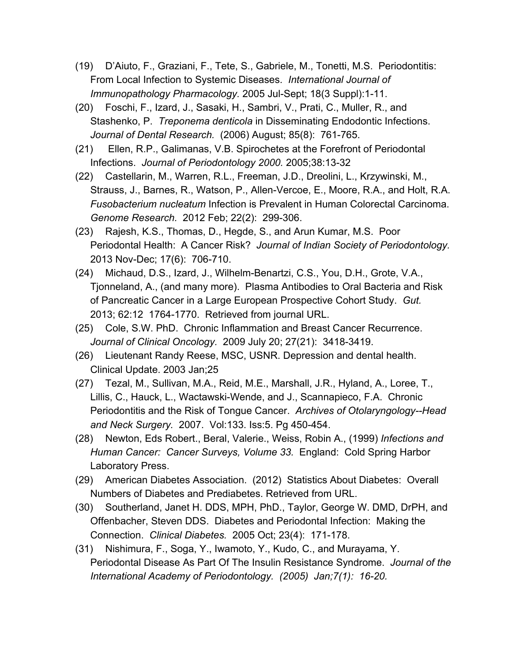- (19) D'Aiuto, F., Graziani, F., Tete, S., Gabriele, M., Tonetti, M.S. Periodontitis: From Local Infection to Systemic Diseases. *International Journal of Immunopathology Pharmacology.* 2005 Jul-Sept; 18(3 Suppl):1-11.
- (20) Foschi, F., Izard, J., Sasaki, H., Sambri, V., Prati, C., Muller, R., and Stashenko, P. *Treponema denticola* in Disseminating Endodontic Infections. *Journal of Dental Research.* (2006) August; 85(8): 761-765.
- (21) Ellen, R.P., Galimanas, V.B. Spirochetes at the Forefront of Periodontal Infections. *Journal of Periodontology 2000.* 2005;38:13-32
- (22) Castellarin, M., Warren, R.L., Freeman, J.D., Dreolini, L., Krzywinski, M., Strauss, J., Barnes, R., Watson, P., Allen-Vercoe, E., Moore, R.A., and Holt, R.A. *Fusobacterium nucleatum* Infection is Prevalent in Human Colorectal Carcinoma. *Genome Research.* 2012 Feb; 22(2): 299-306.
- (23) Rajesh, K.S., Thomas, D., Hegde, S., and Arun Kumar, M.S. Poor Periodontal Health: A Cancer Risk? *Journal of Indian Society of Periodontology.* 2013 Nov-Dec; 17(6): 706-710.
- (24) Michaud, D.S., Izard, J., Wilhelm-Benartzi, C.S., You, D.H., Grote, V.A., Tjonneland, A., (and many more). Plasma Antibodies to Oral Bacteria and Risk of Pancreatic Cancer in a Large European Prospective Cohort Study. *Gut.* 2013; 62:12 1764-1770. Retrieved from journal URL.
- (25) Cole, S.W. PhD. Chronic Inflammation and Breast Cancer Recurrence. *Journal of Clinical Oncology.* 2009 July 20; 27(21): 3418-3419.
- (26) Lieutenant Randy Reese, MSC, USNR. Depression and dental health. Clinical Update. 2003 Jan;25
- (27) Tezal, M., Sullivan, M.A., Reid, M.E., Marshall, J.R., Hyland, A., Loree, T., Lillis, C., Hauck, L., Wactawski-Wende, and J., Scannapieco, F.A. Chronic Periodontitis and the Risk of Tongue Cancer. *Archives of Otolaryngology--Head and Neck Surgery.* 2007. Vol:133. Iss:5. Pg 450-454.
- (28) Newton, Eds Robert., Beral, Valerie., Weiss, Robin A., (1999) *Infections and Human Cancer: Cancer Surveys, Volume 33.* England: Cold Spring Harbor Laboratory Press.
- (29) American Diabetes Association. (2012) Statistics About Diabetes: Overall Numbers of Diabetes and Prediabetes. Retrieved from URL.
- (30) Southerland, Janet H. DDS, MPH, PhD., Taylor, George W. DMD, DrPH, and Offenbacher, Steven DDS. Diabetes and Periodontal Infection: Making the Connection. *Clinical Diabetes.* 2005 Oct; 23(4): 171-178.
- (31) Nishimura, F., Soga, Y., Iwamoto, Y., Kudo, C., and Murayama, Y. Periodontal Disease As Part Of The Insulin Resistance Syndrome. *Journal of the International Academy of Periodontology. (2005) Jan;7(1): 16-20.*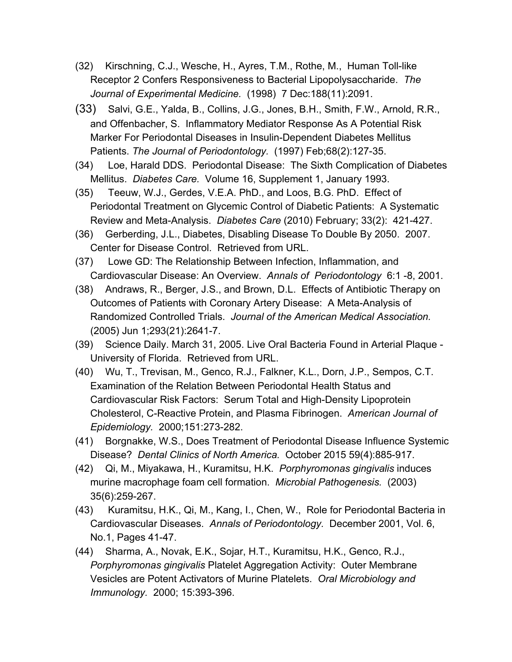- (32) Kirschning, C.J., Wesche, H., Ayres, T.M., Rothe, M., Human Toll-like Receptor 2 Confers Responsiveness to Bacterial Lipopolysaccharide. *The Journal of Experimental Medicine.* (1998) 7 Dec:188(11):2091.
- (33) Salvi, G.E., Yalda, B., Collins, J.G., Jones, B.H., Smith, F.W., Arnold, R.R., and Offenbacher, S. Inflammatory Mediator Response As A Potential Risk Marker For Periodontal Diseases in Insulin-Dependent Diabetes Mellitus Patients. *The Journal of Periodontology.* (1997) Feb;68(2):127-35.
- (34) Loe, Harald DDS. Periodontal Disease: The Sixth Complication of Diabetes Mellitus. *Diabetes Care.* Volume 16, Supplement 1, January 1993.
- (35) Teeuw, W.J., Gerdes, V.E.A. PhD., and Loos, B.G. PhD. Effect of Periodontal Treatment on Glycemic Control of Diabetic Patients: A Systematic Review and Meta-Analysis. *Diabetes Care* (2010) February; 33(2): 421-427.
- (36) Gerberding, J.L., Diabetes, Disabling Disease To Double By 2050. 2007. Center for Disease Control. Retrieved from URL.
- (37) Lowe GD: The Relationship Between Infection, Inflammation, and Cardiovascular Disease: An Overview. *Annals of Periodontology* 6:1 -8, 2001.
- (38) Andraws, R., Berger, J.S., and Brown, D.L. Effects of Antibiotic Therapy on Outcomes of Patients with Coronary Artery Disease: A Meta-Analysis of Randomized Controlled Trials. *Journal of the American Medical Association.* (2005) Jun 1;293(21):2641-7.
- (39) Science Daily. March 31, 2005. Live Oral Bacteria Found in Arterial Plaque University of Florida. Retrieved from URL.
- (40) Wu, T., Trevisan, M., Genco, R.J., Falkner, K.L., Dorn, J.P., Sempos, C.T. Examination of the Relation Between Periodontal Health Status and Cardiovascular Risk Factors: Serum Total and High-Density Lipoprotein Cholesterol, C-Reactive Protein, and Plasma Fibrinogen. *American Journal of Epidemiology.* 2000;151:273-282.
- (41) Borgnakke, W.S., Does Treatment of Periodontal Disease Influence Systemic Disease? *Dental Clinics of North America.* October 2015 59(4):885-917.
- (42) Qi, M., Miyakawa, H., Kuramitsu, H.K. *Porphyromonas gingivalis* induces murine macrophage foam cell formation. *Microbial Pathogenesis.* (2003) 35(6):259-267.
- (43) Kuramitsu, H.K., Qi, M., Kang, I., Chen, W., Role for Periodontal Bacteria in Cardiovascular Diseases. *Annals of Periodontology.* December 2001, Vol. 6, No.1, Pages 41-47.
- (44) Sharma, A., Novak, E.K., Sojar, H.T., Kuramitsu, H.K., Genco, R.J., *Porphyromonas gingivalis* Platelet Aggregation Activity: Outer Membrane Vesicles are Potent Activators of Murine Platelets. *Oral Microbiology and Immunology.* 2000; 15:393-396.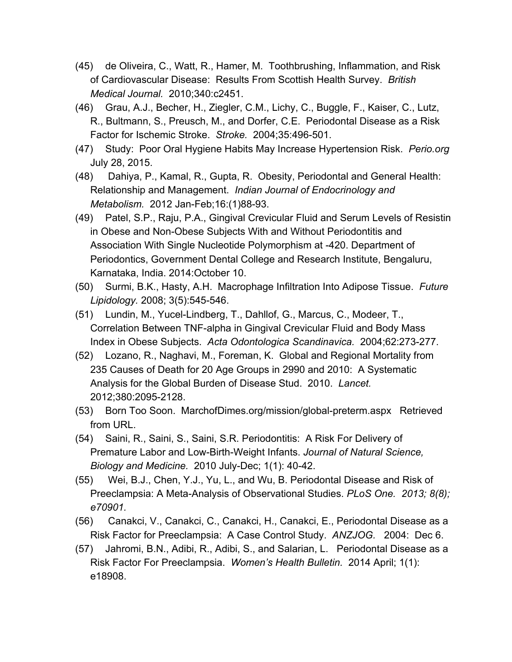- (45) de Oliveira, C., Watt, R., Hamer, M. Toothbrushing, Inflammation, and Risk of Cardiovascular Disease: Results From Scottish Health Survey. *British Medical Journal.* 2010;340:c2451.
- (46) Grau, A.J., Becher, H., Ziegler, C.M., Lichy, C., Buggle, F., Kaiser, C., Lutz, R., Bultmann, S., Preusch, M., and Dorfer, C.E. Periodontal Disease as a Risk Factor for Ischemic Stroke. *Stroke.* 2004;35:496-501.
- (47) Study: Poor Oral Hygiene Habits May Increase Hypertension Risk. *Perio.org* July 28, 2015.
- (48) Dahiya, P., Kamal, R., Gupta, R. Obesity, Periodontal and General Health: Relationship and Management. *Indian Journal of Endocrinology and Metabolism.* 2012 Jan-Feb;16:(1)88-93.
- (49) Patel, S.P., Raju, P.A., Gingival Crevicular Fluid and Serum Levels of Resistin in Obese and Non-Obese Subjects With and Without Periodontitis and Association With Single Nucleotide Polymorphism at -420. Department of Periodontics, Government Dental College and Research Institute, Bengaluru, Karnataka, India. 2014:October 10.
- (50) Surmi, B.K., Hasty, A.H. Macrophage Infiltration Into Adipose Tissue. *Future Lipidology.* 2008; 3(5):545-546.
- (51) Lundin, M., Yucel-Lindberg, T., Dahllof, G., Marcus, C., Modeer, T., Correlation Between TNF-alpha in Gingival Crevicular Fluid and Body Mass Index in Obese Subjects. *Acta Odontologica Scandinavica.* 2004;62:273-277.
- (52) Lozano, R., Naghavi, M., Foreman, K. Global and Regional Mortality from 235 Causes of Death for 20 Age Groups in 2990 and 2010: A Systematic Analysis for the Global Burden of Disease Stud. 2010. *Lancet.* 2012;380:2095-2128.
- (53) Born Too Soon. MarchofDimes.org/mission/global-preterm.aspx Retrieved from URL.
- (54) Saini, R., Saini, S., Saini, S.R. Periodontitis: A Risk For Delivery of Premature Labor and Low-Birth-Weight Infants. *Journal of Natural Science, Biology and Medicine.* 2010 July-Dec; 1(1): 40-42.
- (55) Wei, B.J., Chen, Y.J., Yu, L., and Wu, B. Periodontal Disease and Risk of Preeclampsia: A Meta-Analysis of Observational Studies. *PLoS One. 2013; 8(8); e70901.*
- (56) Canakci, V., Canakci, C., Canakci, H., Canakci, E., Periodontal Disease as a Risk Factor for Preeclampsia: A Case Control Study. *ANZJOG.* 2004: Dec 6.
- (57) Jahromi, B.N., Adibi, R., Adibi, S., and Salarian, L. Periodontal Disease as a Risk Factor For Preeclampsia. *Women's Health Bulletin.* 2014 April; 1(1): e18908.